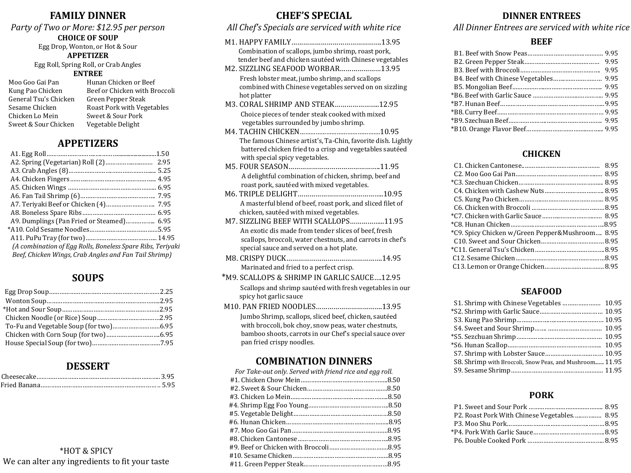# **FAMILY DINNER**

# *Party of Two or More: \$12.95 per person* **CHOICE OF SOUP**

Egg Drop, Wonton, or Hot & Sour **APPETIZER** Egg Roll, Spring Roll, or Crab Angles

#### **ENTREE**

- Moo Goo Gai Pan Hunan Chicken or Beef General Tsu's Chicken Green Pepper Steak Chicken Lo Mein Sweet & Sour Pork Sweet & Sour Chicken Vegetable Delight
- Kung Pao Chicken Beef or Chicken with Broccoli Sesame Chicken Roast Pork with Vegetables

# **APPETIZERS**

|                                                            | .1.50 |
|------------------------------------------------------------|-------|
|                                                            |       |
|                                                            |       |
|                                                            |       |
|                                                            |       |
|                                                            |       |
|                                                            |       |
|                                                            |       |
|                                                            |       |
|                                                            |       |
|                                                            |       |
| (A combination of Egg Rolls, Boneless Spare Ribs, Teriyaki |       |
| Beef, Chicken Wings, Crab Angles and Fan Tail Shrimp)      |       |
|                                                            |       |

# **SOUPS**

# **DESSERT**

# \*HOT & SPICY We can alter any ingredients to fit your taste

# **CHEF'S SPECIAL**

#### *All Chef's Specials are serviced with white rice*

- M1. HAPPY FAMILY……………………………………….13.95 Combination of scallops, jumbo shrimp, roast pork, tender beef and chicken sautéed with Chinese vegetables M2. SIZZLING SEAFOOD WORBAR…………………13.95 Fresh lobster meat, jumbo shrimp, and scallops combined with Chinese vegetables served on on sizzling hot platter
- M3. CORAL SHRIMP AND STEAK…………………..12.95 Choice pieces of tender steak cooked with mixed vegetables surrounded by jumbo shrimp.
- M4. TACHIN CHICKEN……………………………………….10.95 The famous Chinese artist's, Ta-Chin, favorite dish. Lightly battered chicken fried to a crisp and vegetables sautéed with special spicy vegetables.
- M5. FOUR SEASON………………………………………..11.95 A delightful combination of chicken, shrimp, beef and roast pork, sautéed with mixed vegetables.
- M6. TRIPLE DELIGHT……………………………………..10.95 A masterful blend of beef, roast pork, and sliced filet of
- chicken, sautéed with mixed vegetables. M7. SIZZLING BEEF WITH SCALLOPS……………...11.95
- An exotic dis made from tender slices of beef, fresh scallops, broccoli, water chestnuts, and carrots in chef's special sauce and served on a hot plate.
- M8. CRISPY DUCK………………………………………….14.95 Marinated and fried to a perfect crisp.
- \*M9. SCALLOPS & SHRIMP IN GARLIC SAUCE….12.95 Scallops and shrimp sautéed with fresh vegetables in our spicy hot garlic sauce
- M10. PAN FRIED NOODLES…………………………….13.95 Jumbo Shrimp, scallops, sliced beef, chicken, sautéed with broccoli, bok choy, snow peas, water chestnuts, bamboo shoots, carrots in our Chef's special sauce over pan fried crispy noodles.

# **COMBINATION DINNERS**

| For Take-out only. Served with friend rice and egg roll. |  |
|----------------------------------------------------------|--|
|                                                          |  |
|                                                          |  |
|                                                          |  |
|                                                          |  |
|                                                          |  |
|                                                          |  |
|                                                          |  |
|                                                          |  |
|                                                          |  |
|                                                          |  |
|                                                          |  |
|                                                          |  |

# **DINNER ENTREES**

*All Dinner Entrees are serviced with white rice*

#### **BEEF**

# **CHICKEN**

| *C9. Spicy Chicken w/Green Pepper&Mushroom  8.95 |  |
|--------------------------------------------------|--|
|                                                  |  |
|                                                  |  |
|                                                  |  |
|                                                  |  |
|                                                  |  |

#### **SEAFOOD**

| S8. Shrimp with Broccoli, Snow Peas, and Mushroom 11.95 |  |
|---------------------------------------------------------|--|
|                                                         |  |

#### **PORK**

| P2. Roast Pork With Chinese Vegetables 8.95 |  |
|---------------------------------------------|--|
|                                             |  |
|                                             |  |
|                                             |  |